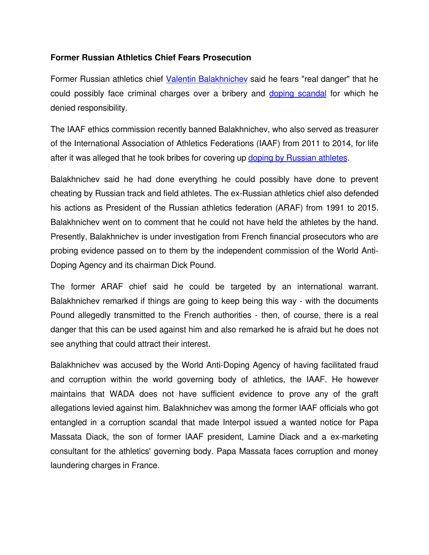## **Former Russian Athletics Chief Fears Prosecution**

Former Russian athletics chief [Valentin Balakhnichev](https://en.wikipedia.org/wiki/Valentin_Balakhnichev) said he fears "real danger" that he could possibly face criminal charges over a bribery and doping scandal for which he denied responsibility.

The IAAF ethics commission recently banned Balakhnichev, who also served as treasurer of the International Association of Athletics Federations (IAAF) from 2011 to 2014, for life after it was alleged that he took bribes for covering up [doping by Russian athletes.](http://www.isteroids.com/blog/vladimir-putin-may-have-consulted-on-doping/)

Balakhnichev said he had done everything he could possibly have done to prevent cheating by Russian track and field athletes. The ex-Russian athletics chief also defended his actions as President of the Russian athletics federation (ARAF) from 1991 to 2015. Balakhnichev went on to comment that he could not have held the athletes by the hand. Presently, Balakhnichev is under investigation from French financial prosecutors who are probing evidence passed on to them by the independent commission of the World Anti-Doping Agency and its chairman Dick Pound.

The former ARAF chief said he could be targeted by an international warrant. Balakhnichev remarked if things are going to keep being this way - with the documents Pound allegedly transmitted to the French authorities - then, of course, there is a real danger that this can be used against him and also remarked he is afraid but he does not see anything that could attract their interest.

Balakhnichev was accused by the World Anti-Doping Agency of having facilitated fraud and corruption within the world governing body of athletics, the IAAF. He however maintains that WADA does not have sufficient evidence to prove any of the graft allegations levied against him. Balakhnichev was among the former IAAF officials who got entangled in a corruption scandal that made Interpol issued a wanted notice for Papa Massata Diack, the son of former IAAF president, Lamine Diack and a ex-marketing consultant for the athletics' governing body. Papa Massata faces corruption and money laundering charges in France.